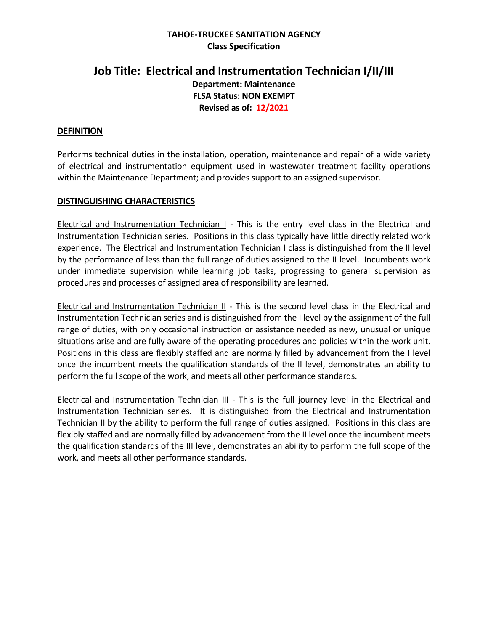## **TAHOE-TRUCKEE SANITATION AGENCY Class Specification**

# **Job Title: Electrical and Instrumentation Technician I/II/III Department: Maintenance FLSA Status: NON EXEMPT Revised as of: 12/2021**

## **DEFINITION**

Performs technical duties in the installation, operation, maintenance and repair of a wide variety of electrical and instrumentation equipment used in wastewater treatment facility operations within the Maintenance Department; and provides support to an assigned supervisor.

## **DISTINGUISHING CHARACTERISTICS**

Electrical and Instrumentation Technician I - This is the entry level class in the Electrical and Instrumentation Technician series. Positions in this class typically have little directly related work experience. The Electrical and Instrumentation Technician I class is distinguished from the II level by the performance of less than the full range of duties assigned to the II level. Incumbents work under immediate supervision while learning job tasks, progressing to general supervision as procedures and processes of assigned area of responsibility are learned.

Electrical and Instrumentation Technician II - This is the second level class in the Electrical and Instrumentation Technician series and is distinguished from the I level by the assignment of the full range of duties, with only occasional instruction or assistance needed as new, unusual or unique situations arise and are fully aware of the operating procedures and policies within the work unit. Positions in this class are flexibly staffed and are normally filled by advancement from the I level once the incumbent meets the qualification standards of the II level, demonstrates an ability to perform the full scope of the work, and meets all other performance standards.

Electrical and Instrumentation Technician III - This is the full journey level in the Electrical and Instrumentation Technician series. It is distinguished from the Electrical and Instrumentation Technician II by the ability to perform the full range of duties assigned. Positions in this class are flexibly staffed and are normally filled by advancement from the II level once the incumbent meets the qualification standards of the III level, demonstrates an ability to perform the full scope of the work, and meets all other performance standards.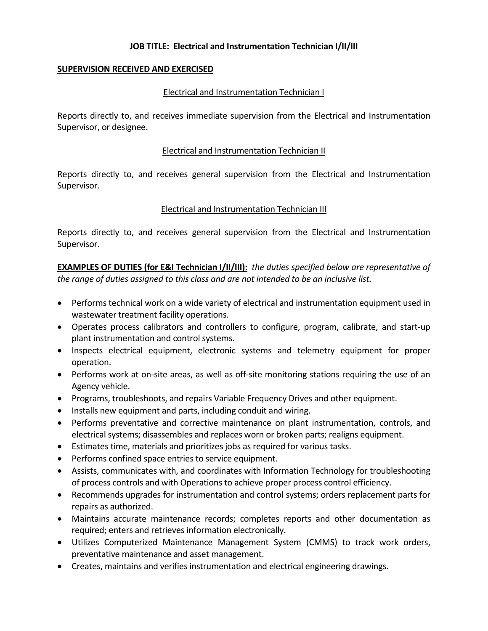### **SUPERVISION RECEIVED AND EXERCISED**

### Electrical and Instrumentation Technician I

Reports directly to, and receives immediate supervision from the Electrical and Instrumentation Supervisor, or designee.

### Electrical and Instrumentation Technician II

Reports directly to, and receives general supervision from the Electrical and Instrumentation Supervisor.

### Electrical and Instrumentation Technician III

Reports directly to, and receives general supervision from the Electrical and Instrumentation Supervisor.

**EXAMPLES OF DUTIES (for E&I Technician I/II/III):** *the duties specified below are representative of the range of duties assigned to this class and are not intended to be an inclusive list.*

- Performs technical work on a wide variety of electrical and instrumentation equipment used in wastewater treatment facility operations.
- Operates process calibrators and controllers to configure, program, calibrate, and start-up plant instrumentation and control systems.
- Inspects electrical equipment, electronic systems and telemetry equipment for proper operation.
- Performs work at on-site areas, as well as off-site monitoring stations requiring the use of an Agency vehicle.
- Programs, troubleshoots, and repairs Variable Frequency Drives and other equipment.
- Installs new equipment and parts, including conduit and wiring.
- Performs preventative and corrective maintenance on plant instrumentation, controls, and electrical systems; disassembles and replaces worn or broken parts; realigns equipment.
- Estimates time, materials and prioritizes jobs as required for various tasks.
- Performs confined space entries to service equipment.
- Assists, communicates with, and coordinates with Information Technology for troubleshooting of process controls and with Operations to achieve proper process control efficiency.
- Recommends upgrades for instrumentation and control systems; orders replacement parts for repairs as authorized.
- Maintains accurate maintenance records; completes reports and other documentation as required; enters and retrieves information electronically.
- Utilizes Computerized Maintenance Management System (CMMS) to track work orders, preventative maintenance and asset management.
- Creates, maintains and verifies instrumentation and electrical engineering drawings.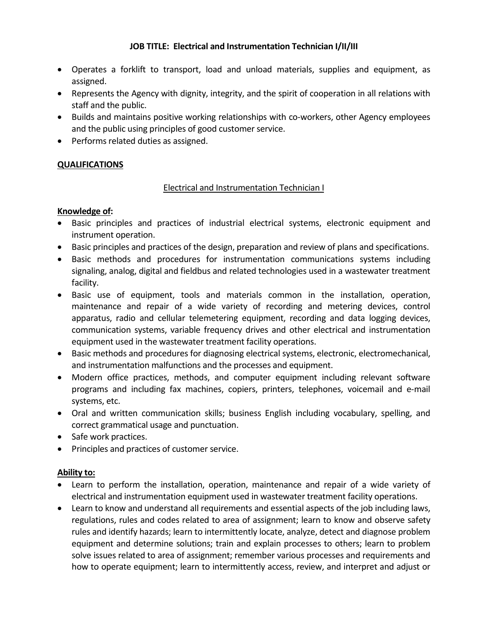- Operates a forklift to transport, load and unload materials, supplies and equipment, as assigned.
- Represents the Agency with dignity, integrity, and the spirit of cooperation in all relations with staff and the public.
- Builds and maintains positive working relationships with co-workers, other Agency employees and the public using principles of good customer service.
- Performs related duties as assigned.

# **QUALIFICATIONS**

## Electrical and Instrumentation Technician I

## **Knowledge of:**

- Basic principles and practices of industrial electrical systems, electronic equipment and instrument operation.
- Basic principles and practices of the design, preparation and review of plans and specifications.
- Basic methods and procedures for instrumentation communications systems including signaling, analog, digital and fieldbus and related technologies used in a wastewater treatment facility.
- Basic use of equipment, tools and materials common in the installation, operation, maintenance and repair of a wide variety of recording and metering devices, control apparatus, radio and cellular telemetering equipment, recording and data logging devices, communication systems, variable frequency drives and other electrical and instrumentation equipment used in the wastewater treatment facility operations.
- Basic methods and procedures for diagnosing electrical systems, electronic, electromechanical, and instrumentation malfunctions and the processes and equipment.
- Modern office practices, methods, and computer equipment including relevant software programs and including fax machines, copiers, printers, telephones, voicemail and e-mail systems, etc.
- Oral and written communication skills; business English including vocabulary, spelling, and correct grammatical usage and punctuation.
- Safe work practices.
- Principles and practices of customer service.

## **Ability to:**

- Learn to perform the installation, operation, maintenance and repair of a wide variety of electrical and instrumentation equipment used in wastewater treatment facility operations.
- Learn to know and understand all requirements and essential aspects of the job including laws, regulations, rules and codes related to area of assignment; learn to know and observe safety rules and identify hazards; learn to intermittently locate, analyze, detect and diagnose problem equipment and determine solutions; train and explain processes to others; learn to problem solve issues related to area of assignment; remember various processes and requirements and how to operate equipment; learn to intermittently access, review, and interpret and adjust or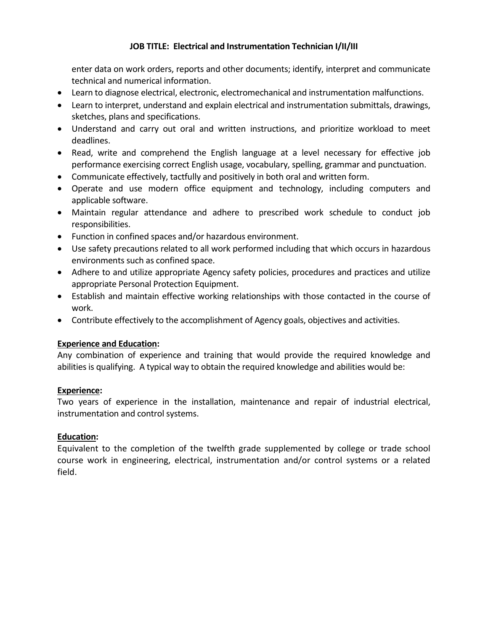enter data on work orders, reports and other documents; identify, interpret and communicate technical and numerical information.

- Learn to diagnose electrical, electronic, electromechanical and instrumentation malfunctions.
- Learn to interpret, understand and explain electrical and instrumentation submittals, drawings, sketches, plans and specifications.
- Understand and carry out oral and written instructions, and prioritize workload to meet deadlines.
- Read, write and comprehend the English language at a level necessary for effective job performance exercising correct English usage, vocabulary, spelling, grammar and punctuation.
- Communicate effectively, tactfully and positively in both oral and written form.
- Operate and use modern office equipment and technology, including computers and applicable software.
- Maintain regular attendance and adhere to prescribed work schedule to conduct job responsibilities.
- Function in confined spaces and/or hazardous environment.
- Use safety precautions related to all work performed including that which occurs in hazardous environments such as confined space.
- Adhere to and utilize appropriate Agency safety policies, procedures and practices and utilize appropriate Personal Protection Equipment.
- Establish and maintain effective working relationships with those contacted in the course of work.
- Contribute effectively to the accomplishment of Agency goals, objectives and activities.

# **Experience and Education:**

Any combination of experience and training that would provide the required knowledge and abilities is qualifying. A typical way to obtain the required knowledge and abilities would be:

# **Experience:**

Two years of experience in the installation, maintenance and repair of industrial electrical, instrumentation and control systems.

# **Education:**

Equivalent to the completion of the twelfth grade supplemented by college or trade school course work in engineering, electrical, instrumentation and/or control systems or a related field.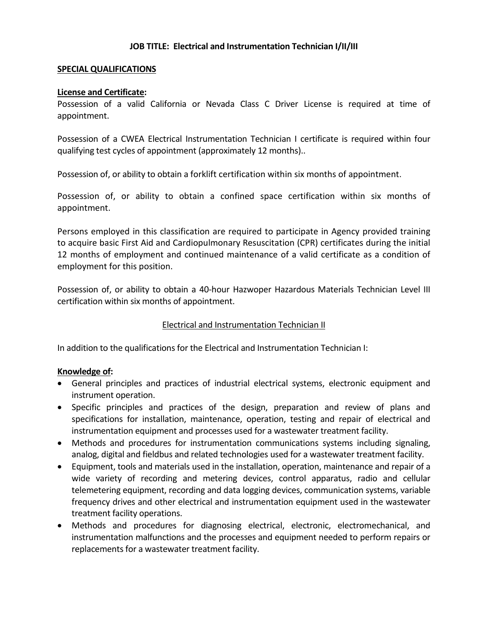### **SPECIAL QUALIFICATIONS**

#### **License and Certificate:**

Possession of a valid California or Nevada Class C Driver License is required at time of appointment.

Possession of a CWEA Electrical Instrumentation Technician I certificate is required within four qualifying test cycles of appointment (approximately 12 months)..

Possession of, or ability to obtain a forklift certification within six months of appointment.

Possession of, or ability to obtain a confined space certification within six months of appointment.

Persons employed in this classification are required to participate in Agency provided training to acquire basic First Aid and Cardiopulmonary Resuscitation (CPR) certificates during the initial 12 months of employment and continued maintenance of a valid certificate as a condition of employment for this position.

Possession of, or ability to obtain a 40-hour Hazwoper Hazardous Materials Technician Level III certification within six months of appointment.

## Electrical and Instrumentation Technician II

In addition to the qualifications for the Electrical and Instrumentation Technician I:

## **Knowledge of:**

- General principles and practices of industrial electrical systems, electronic equipment and instrument operation.
- Specific principles and practices of the design, preparation and review of plans and specifications for installation, maintenance, operation, testing and repair of electrical and instrumentation equipment and processes used for a wastewater treatment facility.
- Methods and procedures for instrumentation communications systems including signaling, analog, digital and fieldbus and related technologies used for a wastewater treatment facility.
- Equipment, tools and materials used in the installation, operation, maintenance and repair of a wide variety of recording and metering devices, control apparatus, radio and cellular telemetering equipment, recording and data logging devices, communication systems, variable frequency drives and other electrical and instrumentation equipment used in the wastewater treatment facility operations.
- Methods and procedures for diagnosing electrical, electronic, electromechanical, and instrumentation malfunctions and the processes and equipment needed to perform repairs or replacements for a wastewater treatment facility.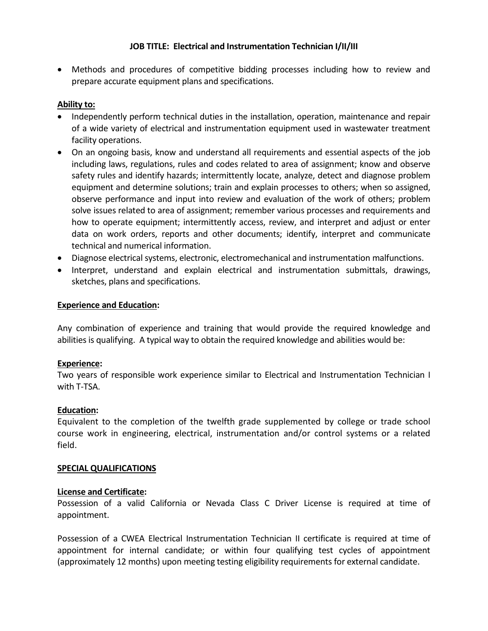• Methods and procedures of competitive bidding processes including how to review and prepare accurate equipment plans and specifications.

# **Ability to:**

- Independently perform technical duties in the installation, operation, maintenance and repair of a wide variety of electrical and instrumentation equipment used in wastewater treatment facility operations.
- On an ongoing basis, know and understand all requirements and essential aspects of the job including laws, regulations, rules and codes related to area of assignment; know and observe safety rules and identify hazards; intermittently locate, analyze, detect and diagnose problem equipment and determine solutions; train and explain processes to others; when so assigned, observe performance and input into review and evaluation of the work of others; problem solve issues related to area of assignment; remember various processes and requirements and how to operate equipment; intermittently access, review, and interpret and adjust or enter data on work orders, reports and other documents; identify, interpret and communicate technical and numerical information.
- Diagnose electrical systems, electronic, electromechanical and instrumentation malfunctions.
- Interpret, understand and explain electrical and instrumentation submittals, drawings, sketches, plans and specifications.

### **Experience and Education:**

Any combination of experience and training that would provide the required knowledge and abilities is qualifying. A typical way to obtain the required knowledge and abilities would be:

## **Experience:**

Two years of responsible work experience similar to Electrical and Instrumentation Technician I with T-TSA.

## **Education:**

Equivalent to the completion of the twelfth grade supplemented by college or trade school course work in engineering, electrical, instrumentation and/or control systems or a related field.

#### **SPECIAL QUALIFICATIONS**

## **License and Certificate:**

Possession of a valid California or Nevada Class C Driver License is required at time of appointment.

Possession of a CWEA Electrical Instrumentation Technician II certificate is required at time of appointment for internal candidate; or within four qualifying test cycles of appointment (approximately 12 months) upon meeting testing eligibility requirements for external candidate.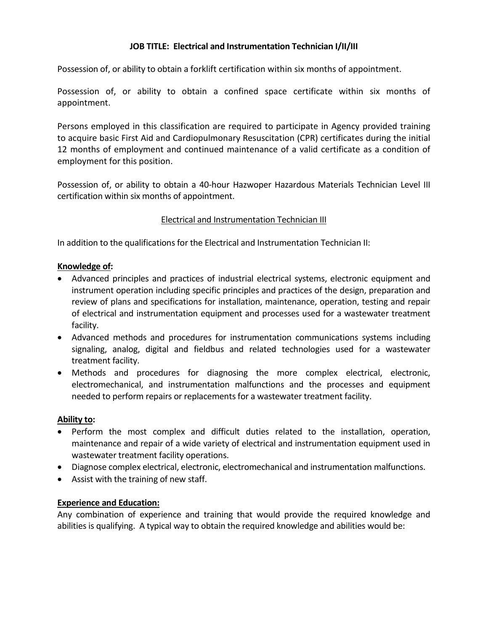Possession of, or ability to obtain a forklift certification within six months of appointment.

Possession of, or ability to obtain a confined space certificate within six months of appointment.

Persons employed in this classification are required to participate in Agency provided training to acquire basic First Aid and Cardiopulmonary Resuscitation (CPR) certificates during the initial 12 months of employment and continued maintenance of a valid certificate as a condition of employment for this position.

Possession of, or ability to obtain a 40-hour Hazwoper Hazardous Materials Technician Level III certification within six months of appointment.

## Electrical and Instrumentation Technician III

In addition to the qualifications for the Electrical and Instrumentation Technician II:

## **Knowledge of:**

- Advanced principles and practices of industrial electrical systems, electronic equipment and instrument operation including specific principles and practices of the design, preparation and review of plans and specifications for installation, maintenance, operation, testing and repair of electrical and instrumentation equipment and processes used for a wastewater treatment facility.
- Advanced methods and procedures for instrumentation communications systems including signaling, analog, digital and fieldbus and related technologies used for a wastewater treatment facility.
- Methods and procedures for diagnosing the more complex electrical, electronic, electromechanical, and instrumentation malfunctions and the processes and equipment needed to perform repairs or replacements for a wastewater treatment facility.

## **Ability to:**

- Perform the most complex and difficult duties related to the installation, operation, maintenance and repair of a wide variety of electrical and instrumentation equipment used in wastewater treatment facility operations.
- Diagnose complex electrical, electronic, electromechanical and instrumentation malfunctions.
- Assist with the training of new staff.

## **Experience and Education:**

Any combination of experience and training that would provide the required knowledge and abilities is qualifying. A typical way to obtain the required knowledge and abilities would be: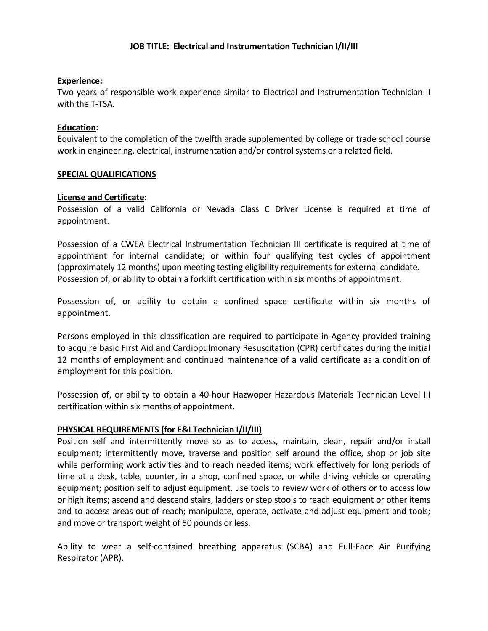#### **Experience:**

Two years of responsible work experience similar to Electrical and Instrumentation Technician II with the T-TSA.

### **Education:**

Equivalent to the completion of the twelfth grade supplemented by college or trade school course work in engineering, electrical, instrumentation and/or control systems or a related field.

### **SPECIAL QUALIFICATIONS**

#### **License and Certificate:**

Possession of a valid California or Nevada Class C Driver License is required at time of appointment.

Possession of a CWEA Electrical Instrumentation Technician III certificate is required at time of appointment for internal candidate; or within four qualifying test cycles of appointment (approximately 12 months) upon meeting testing eligibility requirements for external candidate. Possession of, or ability to obtain a forklift certification within six months of appointment.

Possession of, or ability to obtain a confined space certificate within six months of appointment.

Persons employed in this classification are required to participate in Agency provided training to acquire basic First Aid and Cardiopulmonary Resuscitation (CPR) certificates during the initial 12 months of employment and continued maintenance of a valid certificate as a condition of employment for this position.

Possession of, or ability to obtain a 40-hour Hazwoper Hazardous Materials Technician Level III certification within six months of appointment.

## **PHYSICAL REQUIREMENTS (for E&I Technician I/II/III)**

Position self and intermittently move so as to access, maintain, clean, repair and/or install equipment; intermittently move, traverse and position self around the office, shop or job site while performing work activities and to reach needed items; work effectively for long periods of time at a desk, table, counter, in a shop, confined space, or while driving vehicle or operating equipment; position self to adjust equipment, use tools to review work of others or to access low or high items; ascend and descend stairs, ladders or step stools to reach equipment or other items and to access areas out of reach; manipulate, operate, activate and adjust equipment and tools; and move or transport weight of 50 pounds or less.

Ability to wear a self-contained breathing apparatus (SCBA) and Full-Face Air Purifying Respirator (APR).